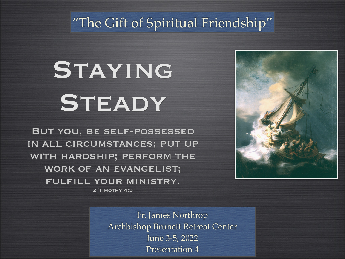#### "The Gift of Spiritual Friendship"

# STAYING STEADY

But you, be self-possessed in all circumstances; put up with hardship; perform the WORK OF AN EVANGELIST; fulfill your ministry. 2 Timothy 4:5



Fr. James Northro Archbishop Brunett Retreat Cente June 3-5, 202 Presentation 4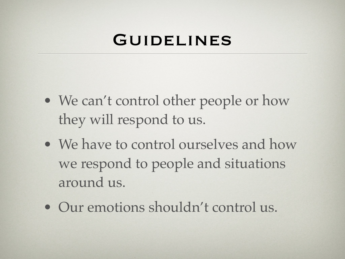#### GUIDELINES

- We can't control other people or how they will respond to us.
- We have to control ourselves and how we respond to people and situations around us.
- Our emotions shouldn't control us.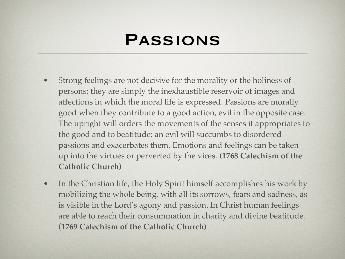### Passions

- Strong feelings are not decisive for the morality or the holiness of persons; they are simply the inexhaustible reservoir of images and affections in which the moral life is expressed. Passions are morally good when they contribute to a good action, evil in the opposite case. The upright will orders the movements of the senses it appropriates to the good and to beatitude; an evil will succumbs to disordered passions and exacerbates them. Emotions and feelings can be taken up into the virtues or perverted by the vices. **(1768 Catechism of the Catholic Church)**
- In the Christian life, the Holy Spirit himself accomplishes his work by mobilizing the whole being, with all its sorrows, fears and sadness, as is visible in the Lord's agony and passion. In Christ human feelings are able to reach their consummation in charity and divine beatitude. (**1769 Catechism of the Catholic Church)**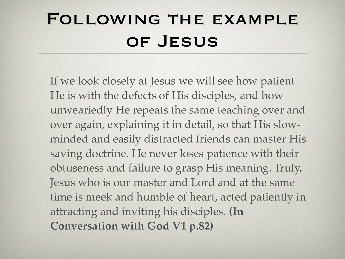# Following the example OF JESUS

If we look closely at Jesus we will see how patient He is with the defects of His disciples, and how unweariedly He repeats the same teaching over and over again, explaining it in detail, so that His slowminded and easily distracted friends can master His saving doctrine. He never loses patience with their obtuseness and failure to grasp His meaning. Truly, Jesus who is our master and Lord and at the same time is meek and humble of heart, acted patiently in attracting and inviting his disciples. **(In Conversation with God V1 p.82)**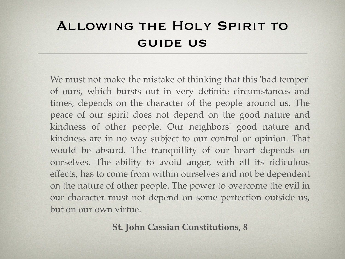#### Allowing the Holy Spirit to guide us

We must not make the mistake of thinking that this 'bad temper' of ours, which bursts out in very definite circumstances and times, depends on the character of the people around us. The peace of our spirit does not depend on the good nature and kindness of other people. Our neighbors' good nature and kindness are in no way subject to our control or opinion. That would be absurd. The tranquillity of our heart depends on ourselves. The ability to avoid anger, with all its ridiculous effects, has to come from within ourselves and not be dependent on the nature of other people. The power to overcome the evil in our character must not depend on some perfection outside us, but on our own virtue.

**St. John Cassian Constitutions, 8**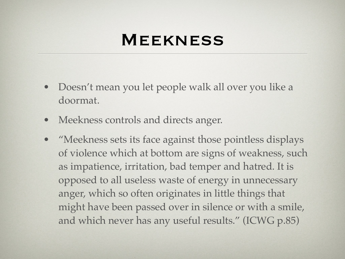### **MEEKNESS**

- Doesn't mean you let people walk all over you like a doormat.
- Meekness controls and directs anger.
- "Meekness sets its face against those pointless displays of violence which at bottom are signs of weakness, such as impatience, irritation, bad temper and hatred. It is opposed to all useless waste of energy in unnecessary anger, which so often originates in little things that might have been passed over in silence or with a smile, and which never has any useful results." (ICWG p.85)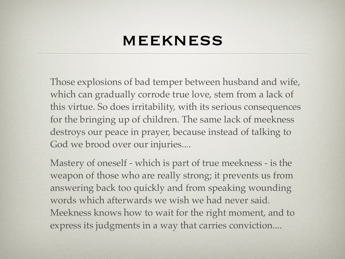#### meekness

Those explosions of bad temper between husband and wife, which can gradually corrode true love, stem from a lack of this virtue. So does irritability, with its serious consequences for the bringing up of children. The same lack of meekness destroys our peace in prayer, because instead of talking to God we brood over our injuries....

Mastery of oneself - which is part of true meekness - is the weapon of those who are really strong; it prevents us from answering back too quickly and from speaking wounding words which afterwards we wish we had never said. Meekness knows how to wait for the right moment, and to express its judgments in a way that carries conviction....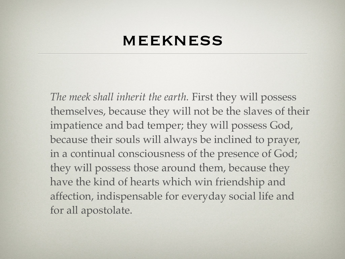#### meekness

*The meek shall inherit the earth.* First they will possess themselves, because they will not be the slaves of their impatience and bad temper; they will possess God, because their souls will always be inclined to prayer, in a continual consciousness of the presence of God; they will possess those around them, because they have the kind of hearts which win friendship and affection, indispensable for everyday social life and for all apostolate.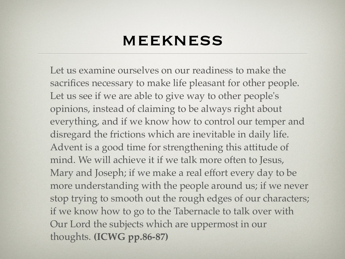#### meekness

Let us examine ourselves on our readiness to make the sacrifices necessary to make life pleasant for other people. Let us see if we are able to give way to other people's opinions, instead of claiming to be always right about everything, and if we know how to control our temper and disregard the frictions which are inevitable in daily life. Advent is a good time for strengthening this attitude of mind. We will achieve it if we talk more often to Jesus, Mary and Joseph; if we make a real effort every day to be more understanding with the people around us; if we never stop trying to smooth out the rough edges of our characters; if we know how to go to the Tabernacle to talk over with Our Lord the subjects which are uppermost in our thoughts. **(ICWG pp.86-87)**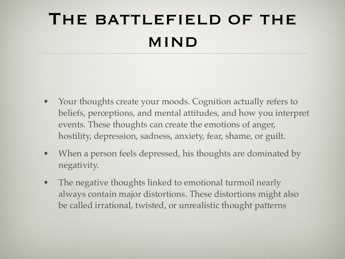# THE BATTLEFIELD OF THE mind

- Your thoughts create your moods. Cognition actually refers to beliefs, perceptions, and mental attitudes, and how you interpret events. These thoughts can create the emotions of anger, hostility, depression, sadness, anxiety, fear, shame, or guilt.
- When a person feels depressed, his thoughts are dominated by negativity.
- The negative thoughts linked to emotional turmoil nearly always contain major distortions. These distortions might also be called irrational, twisted, or unrealistic thought patterns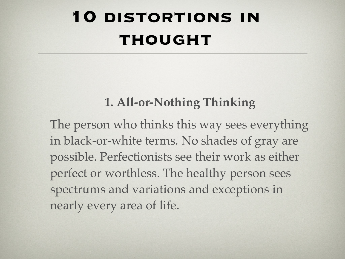# **10 DISTORTIONS IN thought**

#### **1. All-or-Nothing Thinking**

The person who thinks this way sees everything in black-or-white terms. No shades of gray are possible. Perfectionists see their work as either perfect or worthless. The healthy person sees spectrums and variations and exceptions in nearly every area of life.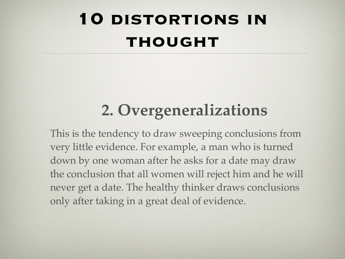# **10 DISTORTIONS IN thought**

### **2. Overgeneralizations**

This is the tendency to draw sweeping conclusions from very little evidence. For example, a man who is turned down by one woman after he asks for a date may draw the conclusion that all women will reject him and he will never get a date. The healthy thinker draws conclusions only after taking in a great deal of evidence.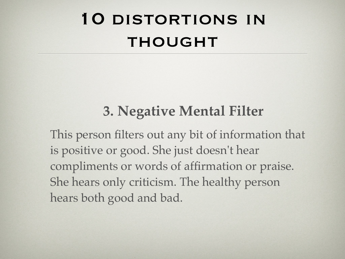### **3. Negative Mental Filter**

This person filters out any bit of information that is positive or good. She just doesn't hear compliments or words of affirmation or praise. She hears only criticism. The healthy person hears both good and bad.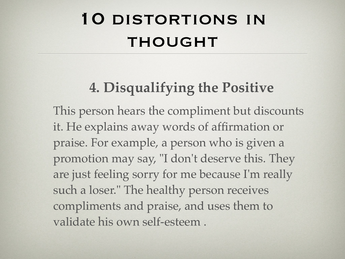### **4. Disqualifying the Positive**

This person hears the compliment but discounts it. He explains away words of affirmation or praise. For example, a person who is given a promotion may say, "I don't deserve this. They are just feeling sorry for me because I'm really such a loser." The healthy person receives compliments and praise, and uses them to validate his own self-esteem .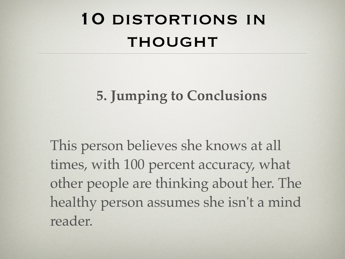### **5. Jumping to Conclusions**

This person believes she knows at all times, with 100 percent accuracy, what other people are thinking about her. The healthy person assumes she isn't a mind reader.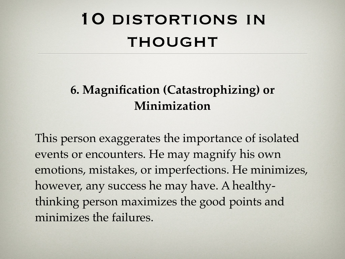# 10 distortions in THOUGHT

#### **6. Magnification (Catastrophizing) or Minimization**

This person exaggerates the importance of isolated events or encounters. He may magnify his own emotions, mistakes, or imperfections. He minimizes, however, any success he may have. A healthythinking person maximizes the good points and minimizes the failures.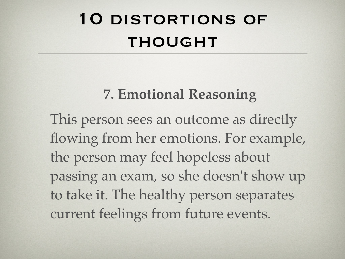#### **7. Emotional Reasoning**

This person sees an outcome as directly flowing from her emotions. For example, the person may feel hopeless about passing an exam, so she doesn't show up to take it. The healthy person separates current feelings from future events.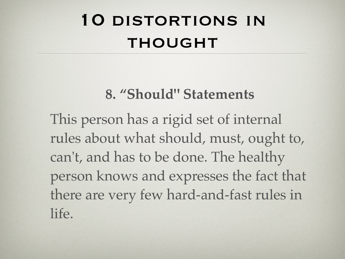#### **8. "Should" Statements**

This person has a rigid set of internal rules about what should, must, ought to, can't, and has to be done. The healthy person knows and expresses the fact that there are very few hard-and-fast rules in life.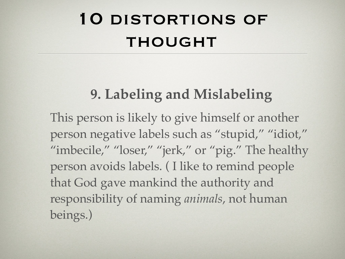### **9. Labeling and Mislabeling**

This person is likely to give himself or another person negative labels such as "stupid," "idiot," "imbecile," "loser," "jerk," or "pig." The healthy person avoids labels. ( I like to remind people that God gave mankind the authority and responsibility of naming *animals*, not human beings.)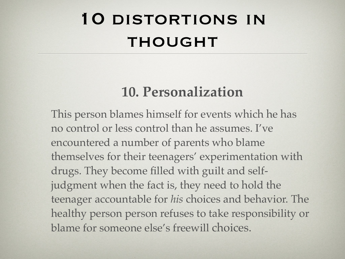### **10. Personalization**

This person blames himself for events which he has no control or less control than he assumes. I've encountered a number of parents who blame themselves for their teenagers' experimentation with drugs. They become filled with guilt and selfjudgment when the fact is, they need to hold the teenager accountable for *his* choices and behavior. The healthy person person refuses to take responsibility or blame for someone else's freewill choices.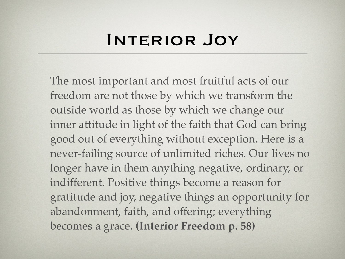#### INTERIOR JOY

The most important and most fruitful acts of our freedom are not those by which we transform the outside world as those by which we change our inner attitude in light of the faith that God can bring good out of everything without exception. Here is a never-failing source of unlimited riches. Our lives no longer have in them anything negative, ordinary, or indifferent. Positive things become a reason for gratitude and joy, negative things an opportunity for abandonment, faith, and offering; everything becomes a grace. **(Interior Freedom p. 58)**